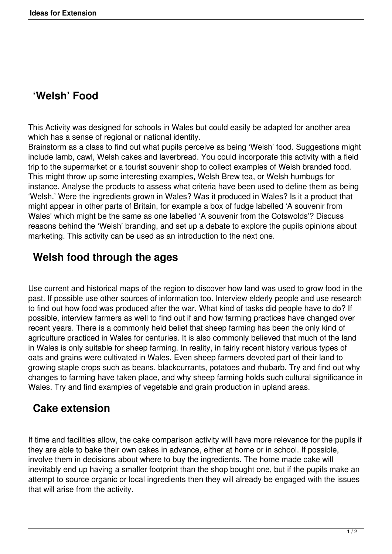# **'Welsh' Food**

This Activity was designed for schools in Wales but could easily be adapted for another area which has a sense of regional or national identity.

Brainstorm as a class to find out what pupils perceive as being 'Welsh' food. Suggestions might include lamb, cawl, Welsh cakes and laverbread. You could incorporate this activity with a field trip to the supermarket or a tourist souvenir shop to collect examples of Welsh branded food. This might throw up some interesting examples, Welsh Brew tea, or Welsh humbugs for instance. Analyse the products to assess what criteria have been used to define them as being 'Welsh.' Were the ingredients grown in Wales? Was it produced in Wales? Is it a product that might appear in other parts of Britain, for example a box of fudge labelled 'A souvenir from Wales' which might be the same as one labelled 'A souvenir from the Cotswolds'? Discuss reasons behind the 'Welsh' branding, and set up a debate to explore the pupils opinions about marketing. This activity can be used as an introduction to the next one.

## **Welsh food through the ages**

Use current and historical maps of the region to discover how land was used to grow food in the past. If possible use other sources of information too. Interview elderly people and use research to find out how food was produced after the war. What kind of tasks did people have to do? If possible, interview farmers as well to find out if and how farming practices have changed over recent years. There is a commonly held belief that sheep farming has been the only kind of agriculture practiced in Wales for centuries. It is also commonly believed that much of the land in Wales is only suitable for sheep farming. In reality, in fairly recent history various types of oats and grains were cultivated in Wales. Even sheep farmers devoted part of their land to growing staple crops such as beans, blackcurrants, potatoes and rhubarb. Try and find out why changes to farming have taken place, and why sheep farming holds such cultural significance in Wales. Try and find examples of vegetable and grain production in upland areas.

### **Cake extension**

If time and facilities allow, the cake comparison activity will have more relevance for the pupils if they are able to bake their own cakes in advance, either at home or in school. If possible, involve them in decisions about where to buy the ingredients. The home made cake will inevitably end up having a smaller footprint than the shop bought one, but if the pupils make an attempt to source organic or local ingredients then they will already be engaged with the issues that will arise from the activity.